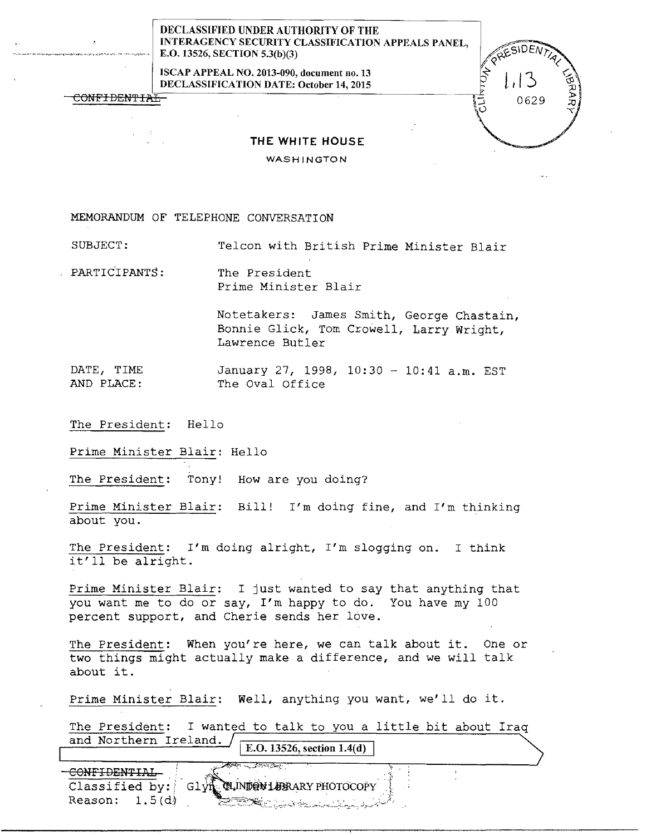## DECLASSIFIED UNDER AUTHORITY OF THE INTERAGENCY SECURITY CLASSIFICATION APPEALS PANE L, E.O. 13526, SECTION 5.3(b)(3)

ISCAP APPEAL NO. 2013-090, document no. 13 DECLASSIFICATION DATE: October 14, 2015

0629

**THE WHITE HOUSE** 

WASHINGTON

MEMORANDUM OF TELEPHONE CONVERSATION

--·-·--·-·----···~---··-· .. \_,,.\_. - --···---·

CONFIDENTIAT

SUBJECT: Telcon with British Prime Minister Blair

PARTICIPANTS: The President Prime Minister Blair

> Notetakers: James Smith, George Chastain, Bonnie Glick, Tom Crowell, Larry Wright, Lawrence Butler

DATE, TIME January 27, 1998, 10:30 - 10:41 a.m. EST AND PLACE: The Oval Office

The President: Hello

Prime Minister Blair: Hello

The President: Tony! How are you doing?

Prime Minister Blair: Bill! I'm doing fine, and I'm thinking about you.

The President: I'm doing alright, I'm slogging on. I think it'll be alright.

Prime Minister Blair: I just wanted to say that anything that you want me to do or say, I'm happy to do. You have my 100 percent support, and Cherie sends her love.

The President: When you're here, we can talk about it. One or two things might actually make a difference, and we will talk about it.

Prime Minister Blair: Well, anything you want, we'll do it.

The President: I wanted to talk to you a little bit about Iraq and Northern Ireland. E.O. 13526, section  $1.4(d)$ 

<u> A</u>str CONFIDENTIAL **QLINDON LEBRARY PHOTOCOPY** Classified by: Glvn Reason:  $1.5(d)$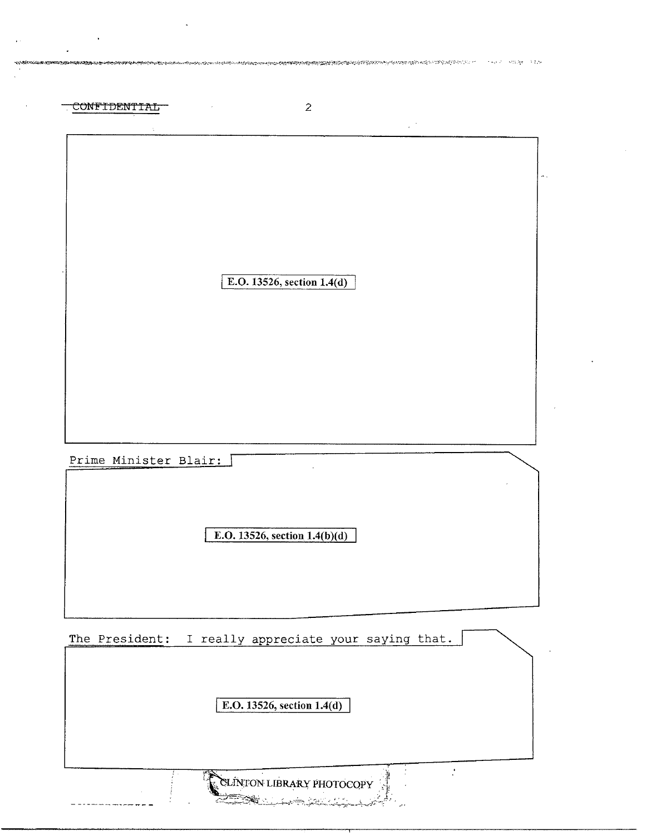| CONFIDENTIAL          | $\overline{2}$                        |  |
|-----------------------|---------------------------------------|--|
|                       | $\mathcal{L}^{(1)}$                   |  |
|                       |                                       |  |
|                       |                                       |  |
|                       |                                       |  |
|                       |                                       |  |
|                       |                                       |  |
|                       |                                       |  |
|                       | E.O. 13526, section 1.4(d)            |  |
|                       |                                       |  |
|                       |                                       |  |
|                       |                                       |  |
|                       |                                       |  |
|                       |                                       |  |
|                       |                                       |  |
|                       |                                       |  |
|                       |                                       |  |
| Prime Minister Blair: |                                       |  |
|                       |                                       |  |
|                       |                                       |  |
|                       | E.O. 13526, section 1.4(b)(d)         |  |
|                       |                                       |  |
|                       |                                       |  |
|                       |                                       |  |
|                       |                                       |  |
| The President:        | I really appreciate your saying that. |  |
|                       |                                       |  |
|                       |                                       |  |
|                       | E.O. 13526, section 1.4(d)            |  |
|                       |                                       |  |
|                       |                                       |  |
|                       |                                       |  |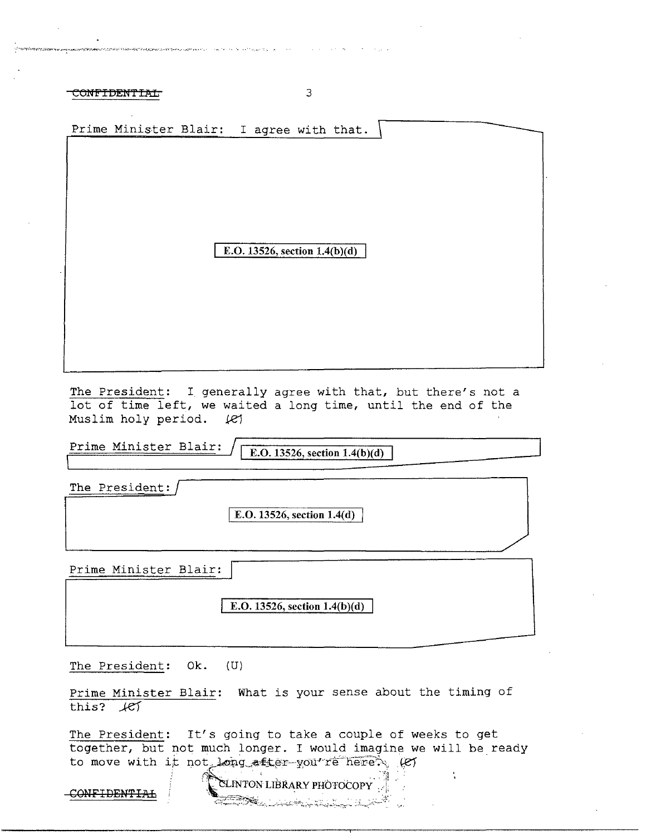CONFIDENTIAL 3

| Prime Minister Blair: I agree with that.                                                 |  |
|------------------------------------------------------------------------------------------|--|
|                                                                                          |  |
|                                                                                          |  |
|                                                                                          |  |
|                                                                                          |  |
|                                                                                          |  |
|                                                                                          |  |
| E.O. 13526, section $1.4(b)(d)$                                                          |  |
|                                                                                          |  |
|                                                                                          |  |
|                                                                                          |  |
|                                                                                          |  |
|                                                                                          |  |
|                                                                                          |  |
|                                                                                          |  |
| The President: I generally agree with that, but there's not a                            |  |
| lot of time left, we waited a long time, until the end of the<br>Muslim holy period. (e) |  |

Prime Minister Blair:  $\sqrt{\frac{\text{E.O. 13526, section 1.4(b)(d)}}{\text{E.O. 13526, section 1.4(b)(d)}}}}$ 

The President:

E.O. 13526, section 1.4(d)

Prime Minister Blair:

E.O. 13526, section  $1.4(b)(d)$ 

The President: Ok. (U)

Prime Minister Blair: What is your sense about the timing of this?  $H$ 

The President: It's going to take a couple of weeks to get together, but not much longer. I would imagine we will be ready to move with it not long after-you re here  $\sim$  (e)

 $~\sim~$  CONFIDENTIAL  $\sim$  CLINTON LIBRARY PHOTOCOPY "-:."=~---:~-~ -- -~~ "'"", ~-:~:.-.....-.:.\_\_~ --;;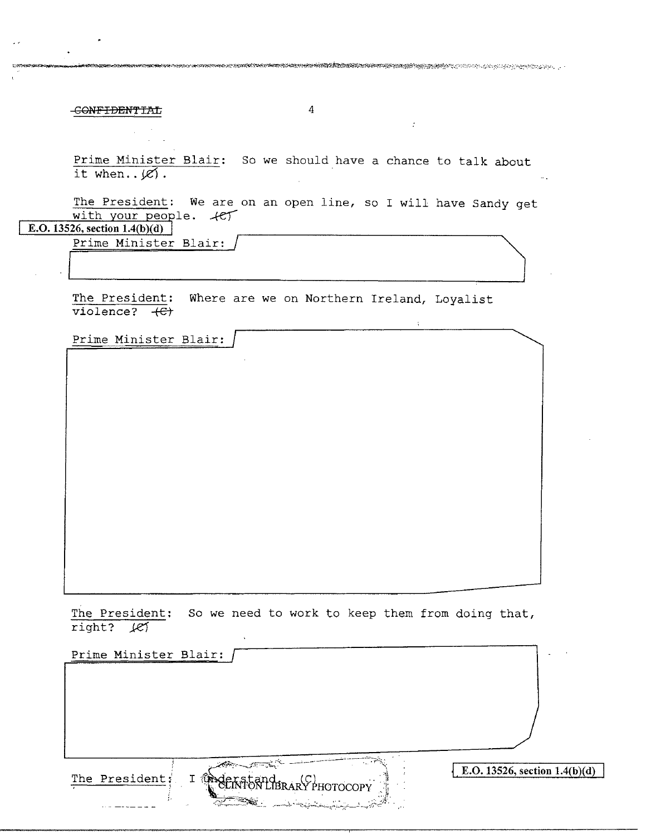-CONFIDENTIAL

Prime Minister Blair: So we should have a chance to talk about it when.  $\cancel{e}$ .

The President: We are on an open line, so I will have Sandy get with your people.  $+e^+$ 

E.O. 13526, section  $1.4(b)(d)$ 

Prime Minister Blair:

The President: Where are we on Northern Ireland, Loyalist  $violence?$   $\leftarrow$ 

Prime Minister Blair:

The President: So we need to work to keep them from doing that, right? let

| Prime Minister Blair:                                       |                                 |
|-------------------------------------------------------------|---------------------------------|
|                                                             |                                 |
|                                                             |                                 |
|                                                             |                                 |
|                                                             |                                 |
|                                                             |                                 |
| The President:<br>I ûn<br>>griai<br><b>IBRARY PHOTOCOPY</b> | E.O. 13526, section $1.4(b)(d)$ |
| المعار                                                      |                                 |

 $\overline{4}$ 

 $\sim 10$ 

 $\tilde{\chi}$